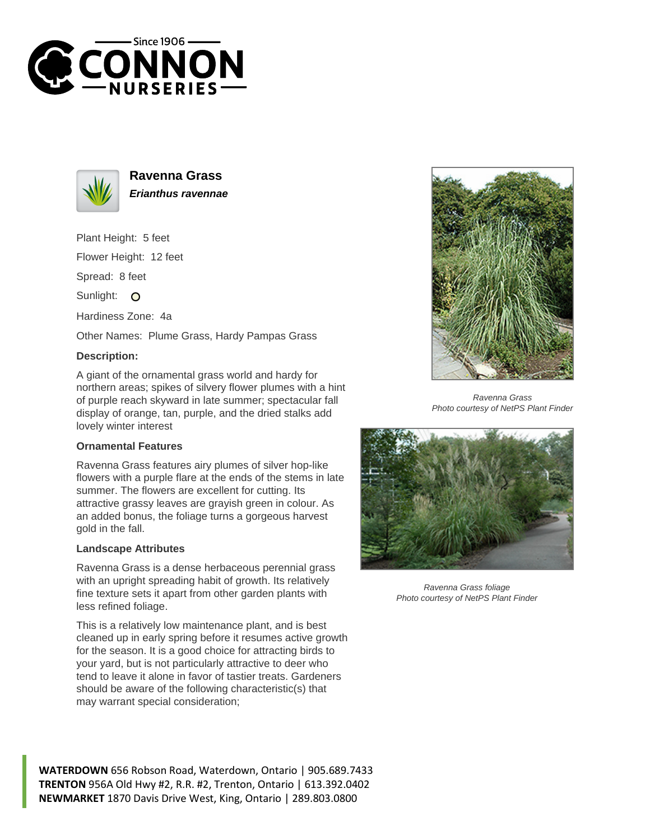



**Ravenna Grass Erianthus ravennae**

Plant Height: 5 feet

Flower Height: 12 feet

Spread: 8 feet

Sunlight: O

Hardiness Zone: 4a

Other Names: Plume Grass, Hardy Pampas Grass

## **Description:**

A giant of the ornamental grass world and hardy for northern areas; spikes of silvery flower plumes with a hint of purple reach skyward in late summer; spectacular fall display of orange, tan, purple, and the dried stalks add lovely winter interest

## **Ornamental Features**

Ravenna Grass features airy plumes of silver hop-like flowers with a purple flare at the ends of the stems in late summer. The flowers are excellent for cutting. Its attractive grassy leaves are grayish green in colour. As an added bonus, the foliage turns a gorgeous harvest gold in the fall.

## **Landscape Attributes**

Ravenna Grass is a dense herbaceous perennial grass with an upright spreading habit of growth. Its relatively fine texture sets it apart from other garden plants with less refined foliage.

This is a relatively low maintenance plant, and is best cleaned up in early spring before it resumes active growth for the season. It is a good choice for attracting birds to your yard, but is not particularly attractive to deer who tend to leave it alone in favor of tastier treats. Gardeners should be aware of the following characteristic(s) that may warrant special consideration;



Ravenna Grass Photo courtesy of NetPS Plant Finder



Ravenna Grass foliage Photo courtesy of NetPS Plant Finder

**WATERDOWN** 656 Robson Road, Waterdown, Ontario | 905.689.7433 **TRENTON** 956A Old Hwy #2, R.R. #2, Trenton, Ontario | 613.392.0402 **NEWMARKET** 1870 Davis Drive West, King, Ontario | 289.803.0800